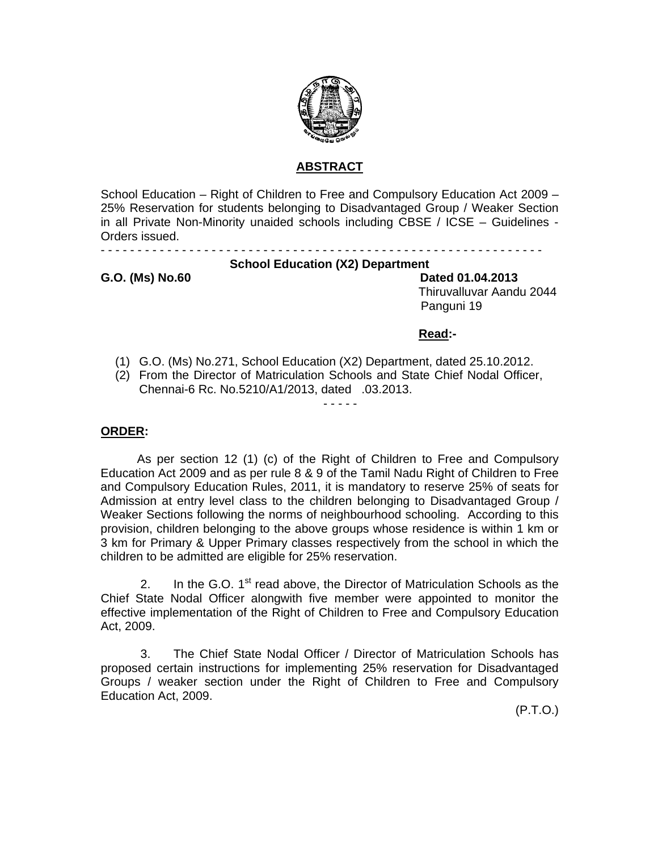

# **ABSTRACT**

School Education – Right of Children to Free and Compulsory Education Act 2009 – 25% Reservation for students belonging to Disadvantaged Group / Weaker Section in all Private Non-Minority unaided schools including CBSE / ICSE – Guidelines - Orders issued.

# **School Education (X2) Department**

**G.O. (Ms) No.60 Dated 01.04.2013**  Thiruvalluvar Aandu 2044 Panguni 19

 **Read:-** 

- - - - - - - - - - - - - - - - - - - - - - - - - - - - - - - - - - - - - - - - - - - - - - - - - - - - - - - - - - - -

- (1) G.O. (Ms) No.271, School Education (X2) Department, dated 25.10.2012.
- (2) From the Director of Matriculation Schools and State Chief Nodal Officer, Chennai-6 Rc. No.5210/A1/2013, dated .03.2013.

# - - - - -

# **ORDER:**

As per section 12 (1) (c) of the Right of Children to Free and Compulsory Education Act 2009 and as per rule 8 & 9 of the Tamil Nadu Right of Children to Free and Compulsory Education Rules, 2011, it is mandatory to reserve 25% of seats for Admission at entry level class to the children belonging to Disadvantaged Group / Weaker Sections following the norms of neighbourhood schooling. According to this provision, children belonging to the above groups whose residence is within 1 km or 3 km for Primary & Upper Primary classes respectively from the school in which the children to be admitted are eligible for 25% reservation.

2. In the G.O.  $1<sup>st</sup>$  read above, the Director of Matriculation Schools as the Chief State Nodal Officer alongwith five member were appointed to monitor the effective implementation of the Right of Children to Free and Compulsory Education Act, 2009.

 3. The Chief State Nodal Officer / Director of Matriculation Schools has proposed certain instructions for implementing 25% reservation for Disadvantaged Groups / weaker section under the Right of Children to Free and Compulsory Education Act, 2009.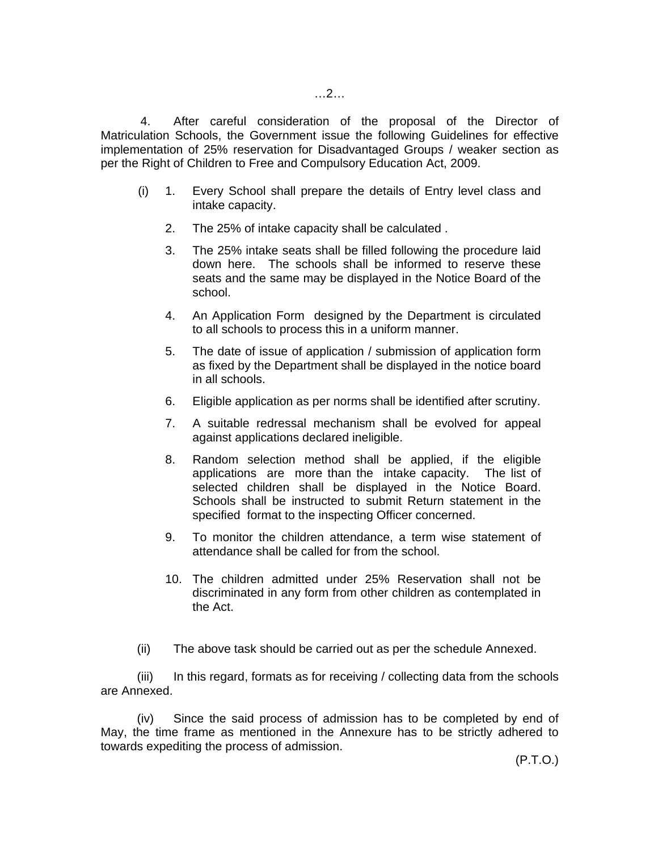4. After careful consideration of the proposal of the Director of Matriculation Schools, the Government issue the following Guidelines for effective implementation of 25% reservation for Disadvantaged Groups / weaker section as per the Right of Children to Free and Compulsory Education Act, 2009.

- (i) 1. Every School shall prepare the details of Entry level class and intake capacity.
	- 2. The 25% of intake capacity shall be calculated .
	- 3. The 25% intake seats shall be filled following the procedure laid down here. The schools shall be informed to reserve these seats and the same may be displayed in the Notice Board of the school.
	- 4. An Application Form designed by the Department is circulated to all schools to process this in a uniform manner.
	- 5. The date of issue of application / submission of application form as fixed by the Department shall be displayed in the notice board in all schools.
	- 6. Eligible application as per norms shall be identified after scrutiny.
	- 7. A suitable redressal mechanism shall be evolved for appeal against applications declared ineligible.
	- 8. Random selection method shall be applied, if the eligible applications are more than the intake capacity. The list of selected children shall be displayed in the Notice Board. Schools shall be instructed to submit Return statement in the specified format to the inspecting Officer concerned.
	- 9. To monitor the children attendance, a term wise statement of attendance shall be called for from the school.
	- 10. The children admitted under 25% Reservation shall not be discriminated in any form from other children as contemplated in the Act.
- (ii) The above task should be carried out as per the schedule Annexed.

 (iii) In this regard, formats as for receiving / collecting data from the schools are Annexed.

 (iv) Since the said process of admission has to be completed by end of May, the time frame as mentioned in the Annexure has to be strictly adhered to towards expediting the process of admission.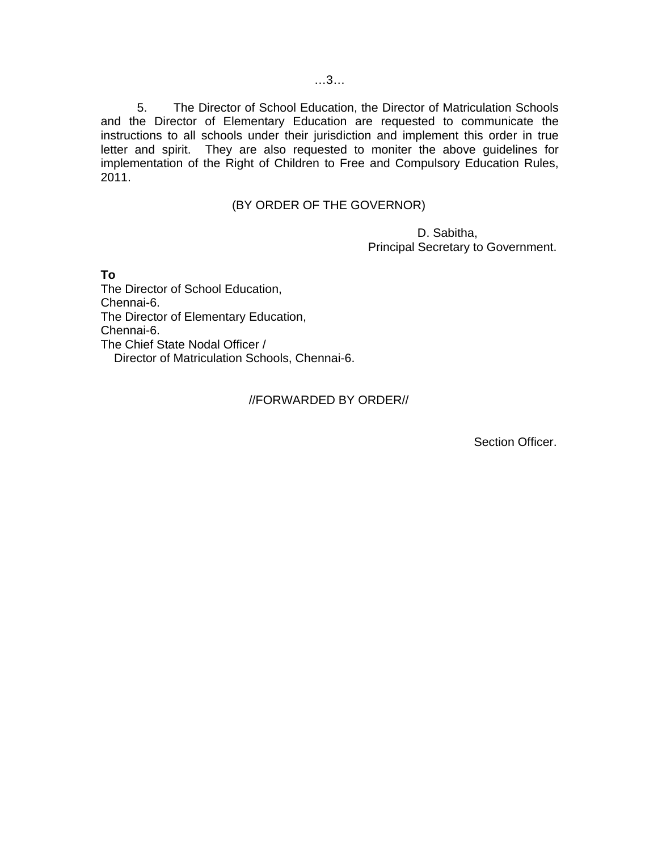5. The Director of School Education, the Director of Matriculation Schools and the Director of Elementary Education are requested to communicate the instructions to all schools under their jurisdiction and implement this order in true letter and spirit. They are also requested to moniter the above guidelines for implementation of the Right of Children to Free and Compulsory Education Rules, 2011.

# (BY ORDER OF THE GOVERNOR)

 D. Sabitha, Principal Secretary to Government.

**To** 

The Director of School Education, Chennai-6. The Director of Elementary Education, Chennai-6. The Chief State Nodal Officer / Director of Matriculation Schools, Chennai-6.

#### //FORWARDED BY ORDER//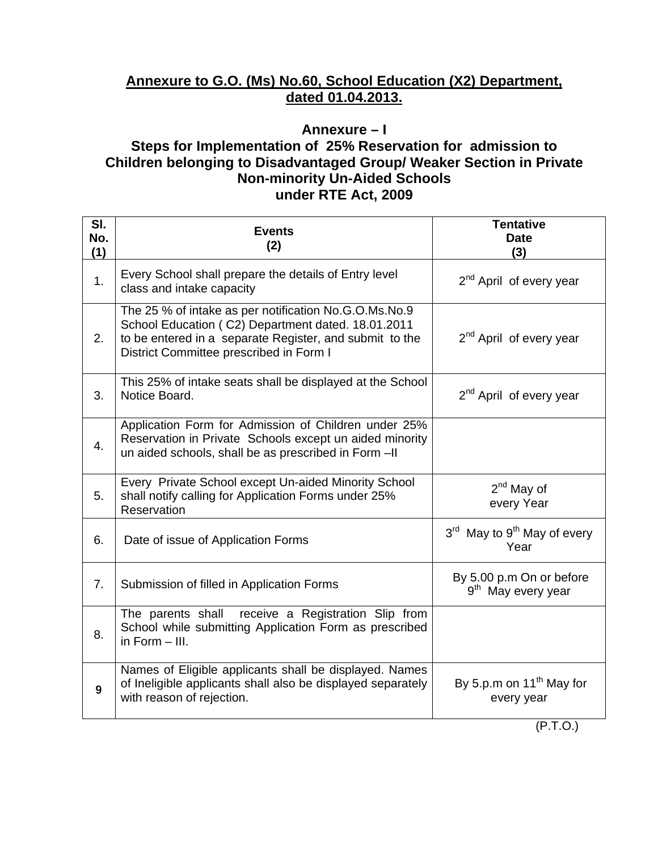# **Annexure to G.O. (Ms) No.60, School Education (X2) Department, dated 01.04.2013.**

# **Annexure – I**

# **Steps for Implementation of 25% Reservation for admission to Children belonging to Disadvantaged Group/ Weaker Section in Private Non-minority Un-Aided Schools under RTE Act, 2009**

| SI.<br>No.<br>(1) | <b>Events</b><br>(2)                                                                                                                                                                                              | <b>Tentative</b><br><b>Date</b><br>(3)                      |
|-------------------|-------------------------------------------------------------------------------------------------------------------------------------------------------------------------------------------------------------------|-------------------------------------------------------------|
| 1.                | Every School shall prepare the details of Entry level<br>class and intake capacity                                                                                                                                | 2 <sup>nd</sup> April of every year                         |
| 2.                | The 25 % of intake as per notification No.G.O.Ms.No.9<br>School Education (C2) Department dated. 18.01.2011<br>to be entered in a separate Register, and submit to the<br>District Committee prescribed in Form I | 2 <sup>nd</sup> April of every year                         |
| 3.                | This 25% of intake seats shall be displayed at the School<br>Notice Board.                                                                                                                                        | 2 <sup>nd</sup> April of every year                         |
| 4.                | Application Form for Admission of Children under 25%<br>Reservation in Private Schools except un aided minority<br>un aided schools, shall be as prescribed in Form-II                                            |                                                             |
| 5.                | Every Private School except Un-aided Minority School<br>shall notify calling for Application Forms under 25%<br>Reservation                                                                                       | $2nd$ May of<br>every Year                                  |
| 6.                | Date of issue of Application Forms                                                                                                                                                                                | 3 <sup>rd</sup> May to 9 <sup>th</sup> May of every<br>Year |
| 7.                | Submission of filled in Application Forms                                                                                                                                                                         | By 5.00 p.m On or before<br>9 <sup>th</sup> May every year  |
| 8.                | The parents shall receive a Registration Slip from<br>School while submitting Application Form as prescribed<br>in Form $-$ III.                                                                                  |                                                             |
| 9                 | Names of Eligible applicants shall be displayed. Names<br>of Ineligible applicants shall also be displayed separately<br>with reason of rejection.                                                                | By 5.p.m on 11 <sup>th</sup> May for<br>every year          |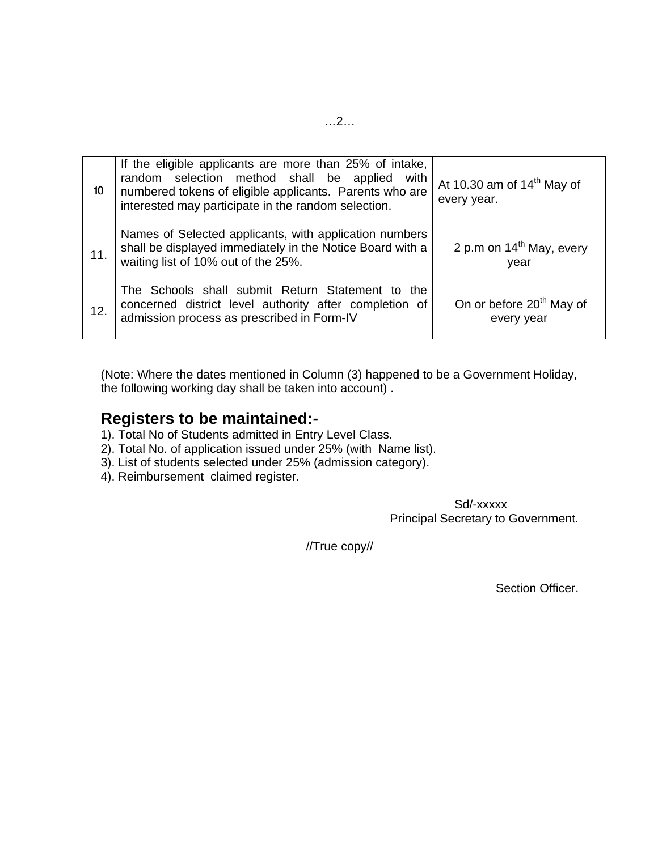| 10  | If the eligible applicants are more than 25% of intake,<br>random selection method shall be applied with<br>numbered tokens of eligible applicants. Parents who are<br>interested may participate in the random selection. | At 10.30 am of $14th$ May of<br>every year.        |
|-----|----------------------------------------------------------------------------------------------------------------------------------------------------------------------------------------------------------------------------|----------------------------------------------------|
| 11. | Names of Selected applicants, with application numbers<br>shall be displayed immediately in the Notice Board with a<br>waiting list of 10% out of the 25%.                                                                 | 2 p.m on $14th$ May, every<br>year                 |
| 12. | The Schools shall submit Return Statement to the<br>concerned district level authority after completion of<br>admission process as prescribed in Form-IV                                                                   | On or before 20 <sup>th</sup> May of<br>every year |

(Note: Where the dates mentioned in Column (3) happened to be a Government Holiday, the following working day shall be taken into account) .

# **Registers to be maintained:-**

- 1). Total No of Students admitted in Entry Level Class.
- 2). Total No. of application issued under 25% (with Name list).
- 3). List of students selected under 25% (admission category).
- 4). Reimbursement claimed register.

 Sd/-xxxxx Principal Secretary to Government.

//True copy//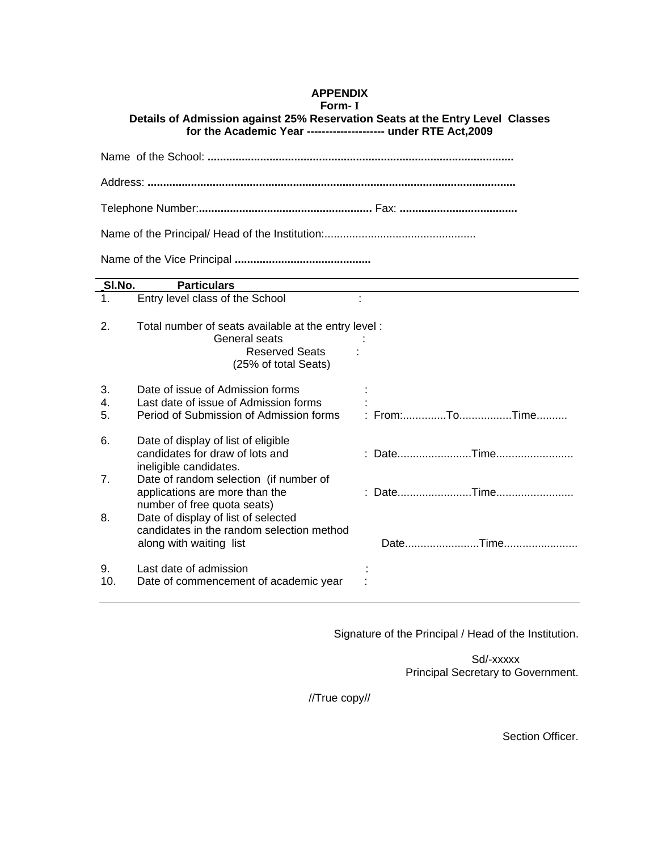# **APPENDIX**

#### **Form- I**

**Details of Admission against 25% Reservation Seats at the Entry Level Classes for the Academic Year --------------------- under RTE Act,2009** 

| SI.No.         | <b>Particulars</b>                                                                                                    |               |  |
|----------------|-----------------------------------------------------------------------------------------------------------------------|---------------|--|
| 1.             | Entry level class of the School                                                                                       | ÷             |  |
| 2.             | Total number of seats available at the entry level:<br>General seats<br><b>Reserved Seats</b><br>(25% of total Seats) |               |  |
| 3.<br>4.<br>5. | Date of issue of Admission forms<br>Last date of issue of Admission forms<br>Period of Submission of Admission forms  | : From:ToTime |  |
| 6.             | Date of display of list of eligible<br>candidates for draw of lots and<br>ineligible candidates.                      |               |  |
| 7.             | Date of random selection (if number of<br>applications are more than the<br>number of free quota seats)               |               |  |
| 8.             | Date of display of list of selected<br>candidates in the random selection method<br>along with waiting list           |               |  |
| 9.<br>10.      | Last date of admission<br>Date of commencement of academic year                                                       |               |  |

Signature of the Principal / Head of the Institution.

 Sd/-xxxxx Principal Secretary to Government.

//True copy//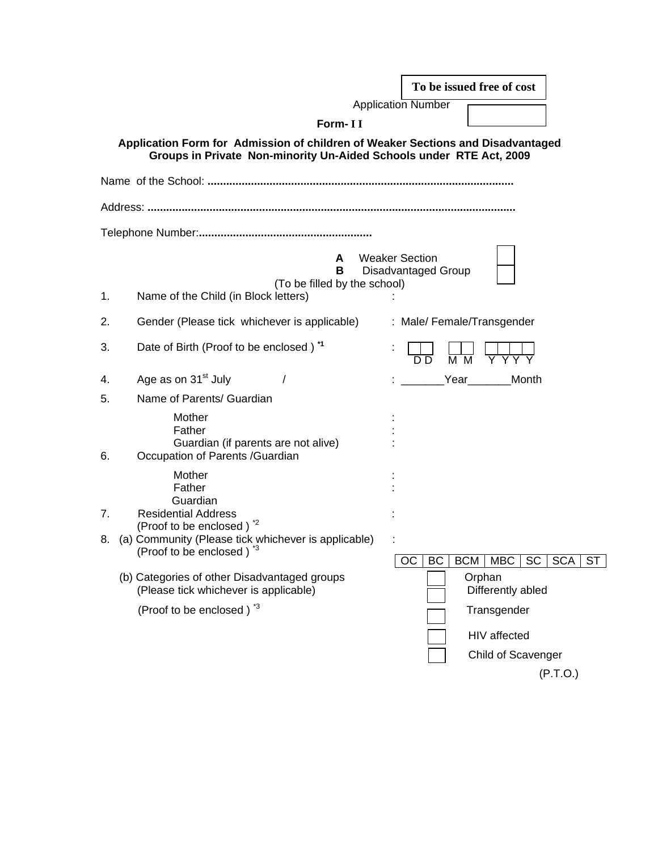|          |                                                                                                                                                                                                  |                           |                     |                  | To be issued free of cost                  |                         |
|----------|--------------------------------------------------------------------------------------------------------------------------------------------------------------------------------------------------|---------------------------|---------------------|------------------|--------------------------------------------|-------------------------|
|          |                                                                                                                                                                                                  | <b>Application Number</b> |                     |                  |                                            |                         |
|          | Form-II                                                                                                                                                                                          |                           |                     |                  |                                            |                         |
|          | Application Form for Admission of children of Weaker Sections and Disadvantaged<br>Groups in Private Non-minority Un-Aided Schools under RTE Act, 2009                                           |                           |                     |                  |                                            |                         |
|          |                                                                                                                                                                                                  |                           |                     |                  |                                            |                         |
|          |                                                                                                                                                                                                  |                           |                     |                  |                                            |                         |
|          |                                                                                                                                                                                                  |                           |                     |                  |                                            |                         |
| 1.       | A<br>в<br>(To be filled by the school)<br>Name of the Child (in Block letters)                                                                                                                   | <b>Weaker Section</b>     | Disadvantaged Group |                  |                                            |                         |
| 2.       | Gender (Please tick whichever is applicable)                                                                                                                                                     |                           |                     |                  | : Male/ Female/Transgender                 |                         |
| 3.       | Date of Birth (Proof to be enclosed) <sup>*1</sup>                                                                                                                                               |                           | ח ח                 | $\overline{M}$ M |                                            |                         |
| 4.       | Age as on 31 <sup>st</sup> July                                                                                                                                                                  |                           |                     |                  | Year Month                                 |                         |
| 5.       | Name of Parents/ Guardian                                                                                                                                                                        |                           |                     |                  |                                            |                         |
| 6.       | Mother<br>Father<br>Guardian (if parents are not alive)<br>Occupation of Parents /Guardian                                                                                                       |                           |                     |                  |                                            |                         |
| 7.<br>8. | Mother<br>Father<br>Guardian<br><b>Residential Address</b><br>(Proof to be enclosed) <sup>*2</sup><br>(a) Community (Please tick whichever is applicable)<br>(Proof to be enclosed) <sup>3</sup> |                           | OС<br>BC            | <b>BCM</b>       | MBC<br><b>SC</b>                           | <b>SCA</b><br><b>ST</b> |
|          | (b) Categories of other Disadvantaged groups<br>(Please tick whichever is applicable)<br>(Proof to be enclosed) <sup>3</sup>                                                                     |                           |                     |                  | Orphan<br>Differently abled<br>Transgender |                         |
|          |                                                                                                                                                                                                  |                           |                     |                  | HIV affected<br>Child of Scavenger         | (P.T.O.)                |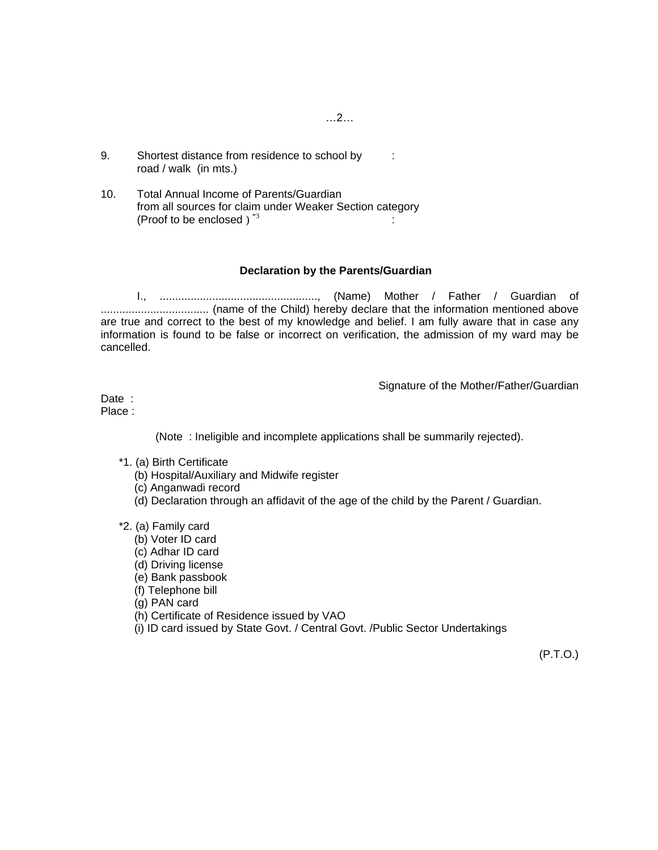- 9. Shortest distance from residence to school by : road / walk (in mts.)
- 10. Total Annual Income of Parents/Guardian from all sources for claim under Weaker Section category (Proof to be enclosed )  $*3$  :

#### **Declaration by the Parents/Guardian**

I., ..................................................., (Name) Mother / Father / Guardian of ................................... (name of the Child) hereby declare that the information mentioned above are true and correct to the best of my knowledge and belief. I am fully aware that in case any information is found to be false or incorrect on verification, the admission of my ward may be cancelled.

Signature of the Mother/Father/Guardian

Date : Place :

(Note : Ineligible and incomplete applications shall be summarily rejected).

- \*1. (a) Birth Certificate
	- (b) Hospital/Auxiliary and Midwife register
	- (c) Anganwadi record
	- (d) Declaration through an affidavit of the age of the child by the Parent / Guardian.
- \*2. (a) Family card
	- (b) Voter ID card
	- (c) Adhar ID card
	- (d) Driving license
	- (e) Bank passbook
	- (f) Telephone bill
	- (g) PAN card
	- (h) Certificate of Residence issued by VAO
	- (i) ID card issued by State Govt. / Central Govt. /Public Sector Undertakings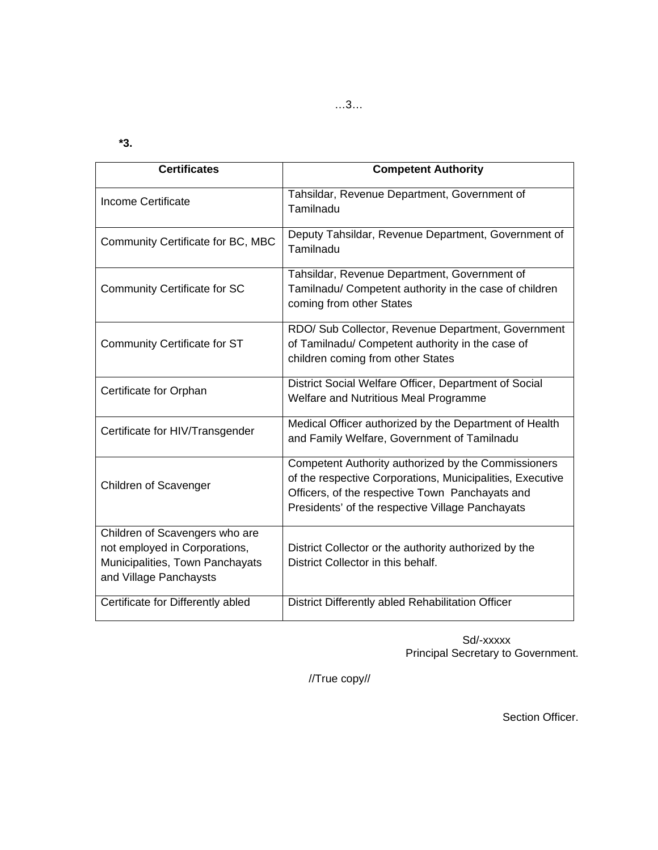**\*3.** 

| <b>Certificates</b>                                                                                                          | <b>Competent Authority</b>                                                                                                                                                                                              |
|------------------------------------------------------------------------------------------------------------------------------|-------------------------------------------------------------------------------------------------------------------------------------------------------------------------------------------------------------------------|
| Income Certificate                                                                                                           | Tahsildar, Revenue Department, Government of<br>Tamilnadu                                                                                                                                                               |
| Community Certificate for BC, MBC                                                                                            | Deputy Tahsildar, Revenue Department, Government of<br>Tamilnadu                                                                                                                                                        |
| <b>Community Certificate for SC</b>                                                                                          | Tahsildar, Revenue Department, Government of<br>Tamilnadu/ Competent authority in the case of children<br>coming from other States                                                                                      |
| Community Certificate for ST                                                                                                 | RDO/ Sub Collector, Revenue Department, Government<br>of Tamilnadu/ Competent authority in the case of<br>children coming from other States                                                                             |
| Certificate for Orphan                                                                                                       | District Social Welfare Officer, Department of Social<br>Welfare and Nutritious Meal Programme                                                                                                                          |
| Certificate for HIV/Transgender                                                                                              | Medical Officer authorized by the Department of Health<br>and Family Welfare, Government of Tamilnadu                                                                                                                   |
| <b>Children of Scavenger</b>                                                                                                 | Competent Authority authorized by the Commissioners<br>of the respective Corporations, Municipalities, Executive<br>Officers, of the respective Town Panchayats and<br>Presidents' of the respective Village Panchayats |
| Children of Scavengers who are<br>not employed in Corporations,<br>Municipalities, Town Panchayats<br>and Village Panchaysts | District Collector or the authority authorized by the<br>District Collector in this behalf.                                                                                                                             |
| Certificate for Differently abled                                                                                            | District Differently abled Rehabilitation Officer                                                                                                                                                                       |

 Sd/-xxxxx Principal Secretary to Government.

//True copy//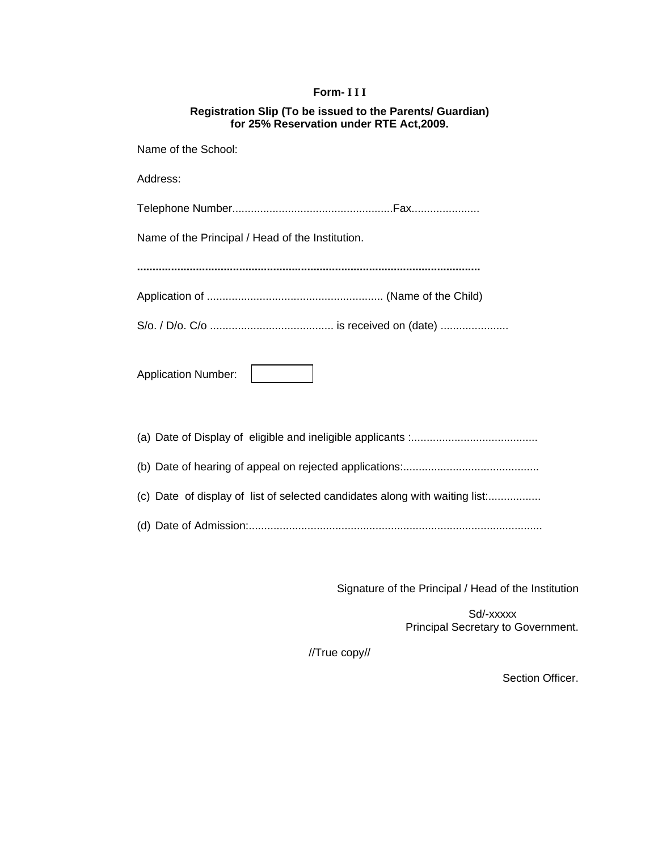# **Form- I I I**

| Registration Slip (To be issued to the Parents/ Guardian) |
|-----------------------------------------------------------|
| for 25% Reservation under RTE Act, 2009.                  |

| Name of the School:                                                         |  |  |
|-----------------------------------------------------------------------------|--|--|
| Address:                                                                    |  |  |
|                                                                             |  |  |
| Name of the Principal / Head of the Institution.                            |  |  |
|                                                                             |  |  |
|                                                                             |  |  |
|                                                                             |  |  |
| <b>Application Number:</b>                                                  |  |  |
|                                                                             |  |  |
|                                                                             |  |  |
| (c) Date of display of list of selected candidates along with waiting list: |  |  |
|                                                                             |  |  |

Signature of the Principal / Head of the Institution

 Sd/-xxxxx Principal Secretary to Government.

//True copy//